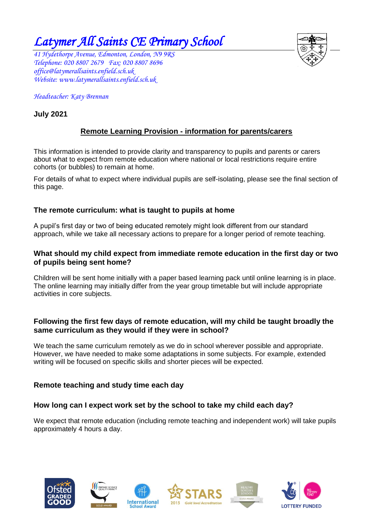*Latymer All Saints CE Primary School* 

*41 Hydethorpe Avenue, Edmonton, London, N9 9RS* Telephone: 020 8807 2679 Fax: 020 8807 8696 *[office@latymerallsaints.enfield.sch.uk](mailto:office@latymerallsaints.enfield.sch.uk) Website: www.latymerallsaints.enfield.sch.uk* 

*Headteacher: Katy Brennan* 

# **July 2021**

# **Remote Learning Provision - information for parents/carers**

This information is intended to provide clarity and transparency to pupils and parents or carers about what to expect from remote education where national or local restrictions require entire cohorts (or bubbles) to remain at home.

For details of what to expect where individual pupils are self-isolating, please see the final section of this page.

## **The remote curriculum: what is taught to pupils at home**

A pupil's first day or two of being educated remotely might look different from our standard approach, while we take all necessary actions to prepare for a longer period of remote teaching.

#### **What should my child expect from immediate remote education in the first day or two of pupils being sent home?**

Children will be sent home initially with a paper based learning pack until online learning is in place. The online learning may initially differ from the year group timetable but will include appropriate activities in core subjects.

#### **Following the first few days of remote education, will my child be taught broadly the same curriculum as they would if they were in school?**

We teach the same curriculum remotely as we do in school wherever possible and appropriate. However, we have needed to make some adaptations in some subjects. For example, extended writing will be focused on specific skills and shorter pieces will be expected.

## **Remote teaching and study time each day**

## **How long can I expect work set by the school to take my child each day?**

We expect that remote education (including remote teaching and independent work) will take pupils approximately 4 hours a day.











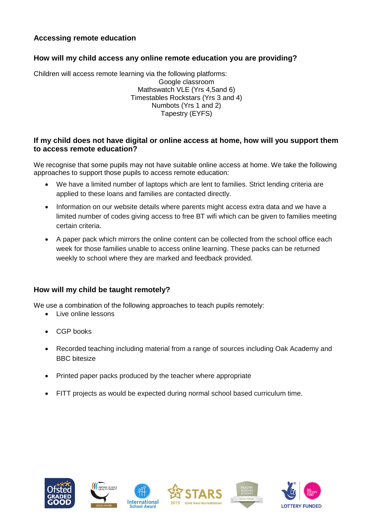# **Accessing remote education**

### **How will my child access any online remote education you are providing?**

Children will access remote learning via the following platforms: Google classroom Mathswatch VLE (Yrs 4,5and 6) Timestables Rockstars (Yrs 3 and 4) Numbots (Yrs 1 and 2) Tapestry (EYFS)

#### **If my child does not have digital or online access at home, how will you support them to access remote education?**

We recognise that some pupils may not have suitable online access at home. We take the following approaches to support those pupils to access remote education:

- We have a limited number of laptops which are lent to families. Strict lending criteria are applied to these loans and families are contacted directly.
- Information on our website details where parents might access extra data and we have a limited number of codes giving access to free BT wifi which can be given to families meeting certain criteria.
- A paper pack which mirrors the online content can be collected from the school office each week for those families unable to access online learning. These packs can be returned weekly to school where they are marked and feedback provided.

## **How will my child be taught remotely?**

We use a combination of the following approaches to teach pupils remotely:

- Live online lessons
- CGP books
- Recorded teaching including material from a range of sources including Oak Academy and BBC bitesize
- Printed paper packs produced by the teacher where appropriate
- FITT projects as would be expected during normal school based curriculum time.











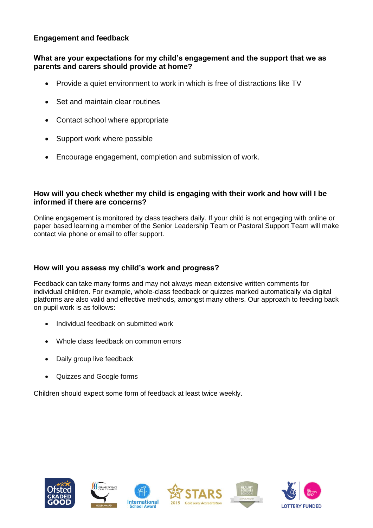# **Engagement and feedback**

#### **What are your expectations for my child's engagement and the support that we as parents and carers should provide at home?**

- Provide a quiet environment to work in which is free of distractions like TV
- Set and maintain clear routines
- Contact school where appropriate
- Support work where possible
- Encourage engagement, completion and submission of work.

#### **How will you check whether my child is engaging with their work and how will I be informed if there are concerns?**

Online engagement is monitored by class teachers daily. If your child is not engaging with online or paper based learning a member of the Senior Leadership Team or Pastoral Support Team will make contact via phone or email to offer support.

### **How will you assess my child's work and progress?**

Feedback can take many forms and may not always mean extensive written comments for individual children. For example, whole-class feedback or quizzes marked automatically via digital platforms are also valid and effective methods, amongst many others. Our approach to feeding back on pupil work is as follows:

- Individual feedback on submitted work
- Whole class feedback on common errors
- Daily group live feedback
- Quizzes and Google forms

Children should expect some form of feedback at least twice weekly.